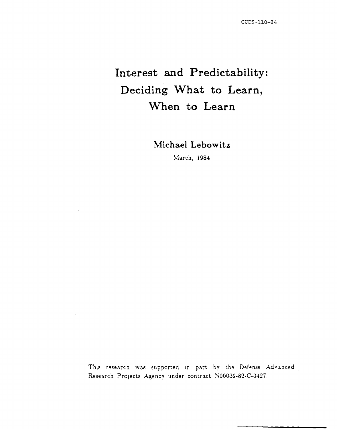# **Interest and Predictability: Deciding What to Learn, When to Learn**

**Michael Lebowitz** 

March, 1984

This research was supported in part by the Defense Advanced. Research Projects Agency under contract N00039-82-C-0427.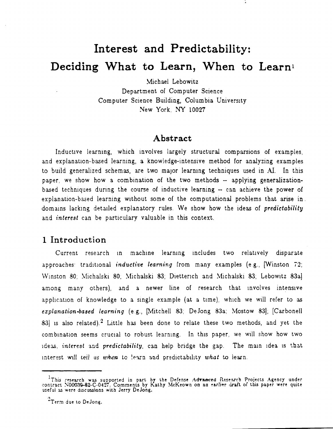# Interest and Predictability: Deciding What to Learn, When to Learn<sup>1</sup>

Michael Lebowitz

Department of Computer Science Computer Science Building, Columbia University New York, NY 10027

#### Abstract

Inductive learning, which involves largely structural comparsions of examples, and explanation-based learning, a knowledge-intensive method for analyzing examples to build generalized schemas, are two major learning techniques used in AI. In this paper, we show how a combination of the two methods -- applying generalizationbased techniques during the course of inductive learning -- can achieve the power of explanation-based learning without some of the computational problems that arise in. domains lacking detailed explanatory rules. We show how the ideas of predictability and *interest* can be particulary valuable in this context.

### 1 Introduction

Current research in machine learning includes two relatively disparate approaches: traditional *inductive learning* from many examples (e.g., [Winston 72; Winston 80; Michalski 80; Michalski 83; Dietterich and Michalski 83; Lebowitz 83a] among many others), and a newer line of research that involves intensive application of knowledge to a single example (at a time), which we will refer to as explanation-based learning (e.g., [Mitchell 83; DeJong 83a; Mostow 83]; [Carbonell 83] is also related).<sup>2</sup> Little has been done to relate these two methods, and yet the combination seems crucial to robust learning. In this paper, we will show how two ideas, interest and predictability, can help bridge the gap. The main idea is that interest will tell us when to learn and predictability what to learn.

<sup>&</sup>lt;sup>1</sup>This research was supported in part by the Defense Advanced Research Projects Agency under contract N00039-82-C-0427. Comments by Kathy McKeown on an earlier draft of this paper were quite useful as were discussions wit

<sup>&</sup>lt;sup>2</sup>Term due to DeJong.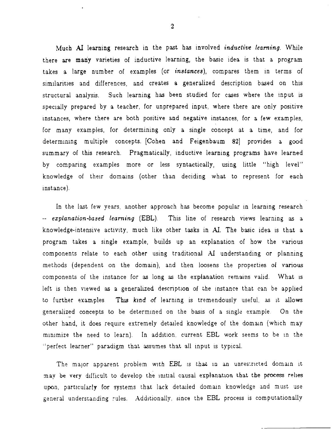Much AI learning research in the past has involved *indudive learning.* While there are many varieties of inductive learning, the basic idea is that a program takes a large number of examples (or *instances),* compares them in terms of similarities and differences, and creates a generalized description based on this structural analysis. Such learning has been studied for cases where the tnput is speclally prepared by a teacher, for unprepared input, where there are only positive instances, where there are both positive and negative instances, for a few examples, for many examples, for determining only a single concept at a time, and for determining multiple concepts. [Cohen and Feigenbaum 82] provides a good summary of this research. Pragmatically, inductive learning programs have learned by comparing examples more or less syntactically, using little "high level" knowledge of their domains (other than deciding what to represent for each instance).

In the last few years, another approach has become popular in learning research *explanation-based learning* (EBL). This line of research VIews learning as a knowledge-intensive activity, much like other tasks in AI. The basic idea is that a program takes a single example, builds up an explanation of how the various components relate to each other using traditional A1 understanding or planning methods (dependent on the domain), and then loosens the properties of various components of the instance for as long as the explanation remains valid. What is left is then viewed as a generalized description of the instance that can be applied to further examples. This kind of learning is tremendously useful, as it allows generalized concepts to be determined on the basis of a single example. On the other hand, it does require extremely detailed knowledge of the domain (which may minimize the need to learn). In addition, current EBL work seems to be in the "perfect learner" paradigm that assumes that all input is typical.

The major apparent problem with EBL is that in an unrestricted domain it may be very difficult to develop the initial causal explanation that the process relies upon, particularly for systems that lack detailed domain knowledge and must use general understanding rules. Additionally, since the EBL process is computationally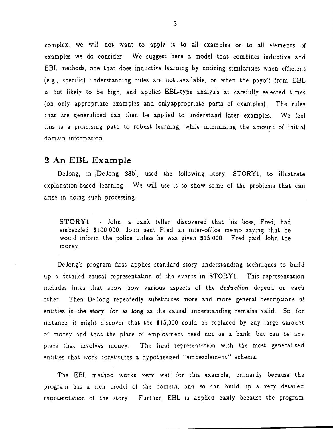complex, we will not want to apply it to all· examples or to all elements of examples we do consider. We suggest here a model that combines inductive and EBL methods, one that does inductive learning by noticing similarities when efficient (e.g., specIfic) understanding rules are not. available, or when the payoff from EBL is not likely to be high, and applies EBL-type analysis at carefully selected times (on only appropnate examples and onlyappropriate parts of examples). The rules that are generalized can then be applied to understand later examples. We feel this is a promising path to robust learning, while minimizing the amount of initial domain information.

#### **2 An EBL Example**

DeJong, in [DeJong 83b], used the following story, STORY1, to illustrate explanation-based learning. We will use it to show some of the problems that can arise in doing such processing.

STORYl - John, a bank teller, discovered that his boss, Fred, had embezzled \$100,000. John sent Fred an mter-office memo saying that he would inform the police unless he was given \$15,000. Fred paid John the money

DeJong's program first applies standard story understanding techniques to build up a detailed causal representation of the events in STORY1. This representation includes links that show how various aspects of the *deduction* depend on each other Then Dejong repeatedly substitutes more and more general descriptions of entities in the story, for as long as the *causal understanding remains valid.* So, for instance, it might discover that the  $$15,000$  could be replaced by any large amount of money and that the place of employment need not be a bank, but can be any place that involves money. The final representation with the most generalized entities that work constitutes a hypothesized "embezzlement" schema.

The EBL method works very well for this example, primarily because the program has a rich model of the domain, and so can build up a very detailed representation of the story Further, EBL is applied easily because the program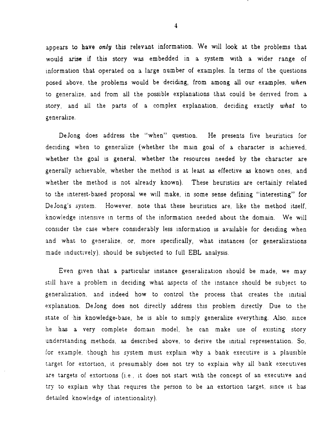appears to have *only* this relevant information. We wIll look at the problems that would arise if this story was em bedded in a system with a wider range of information that operated on a large number of examples. In terms of the questions posed above, the problems would be deciding, from among all our examples, *when*  to generalize, and from all the possible explanations that could be derived from a story, and all the parts of a complex explanation, deciding exactly what to generahze.

DeJong does address the "when" question. He presents five heuristics for deciding when to generalize (whether the main goal of a character is achieved, whether the goal is general, whether the resources needed by the character are generally achievable, whether the method is at least as effective as known ones, and whether the method is not already known). These heuristics are certainly related to the Interest-based proposal we WIll make, in some sense defining "interesting" for DeJong's system. However, note that these heuristics are, like the method itself, knowledge intensive in terms of the information needed about the domain. We will consider the case where considerably less information is available for deciding when and what to generalize, or, more specifically, what instances (or generalizations made inductively), should be subjected to full EBL analysis.

Even given that a particular instance generalization should be made, we may still have a problem in deciding what aspects of the instance should be subject to generalization, and indeed how to control the process that creates the initial explanation. DeJong does not directly address this problem directly. Due to the state of his knowledge-base, he is able to simply generalize everything. Also, since he has a very complete domain model, he can make use of existing story understanding methods, as described above, to derive the initial representation. So, for example, though his system must explain why a bank executive is a plausible target for extortion, it presumably does not try to explain why all bank executives are targets of extortions (i.e., it does not start with the concept of an executive and try to explain why that requires the person to be an extortion target, since it has detailed knowledge of intentionality).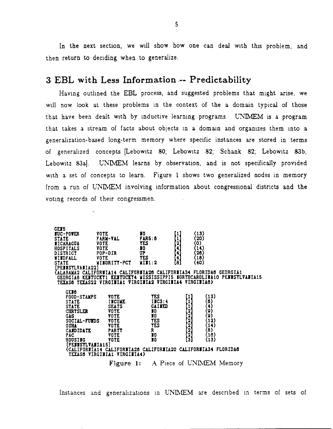In the next section, we will show how one can deal with this problem, and then return to deciding when to generalize.

## 3 EBL with Less Information -- Predictability

Having outlined the EBL process, and suggested problems that might arise, we will now look at these problems in the context of the a domain typical of those that have been dealt with by inductive learning programs. UNIMEM is a program that takes a stream of facts about objects in a domain and organizes them into a generalization-based long-term memory where specific instances are stored in terms of generalized concepts [Lebowitz 80; Lebowitz 82; Schank 82; Lebowitz 83b; Lebowitz 83a]. UNIMEM learns by observation, and is not specifically provided with a set of concepts to learn. Figure 1 shows two generalized nodes in memory from a run of UNIMEM involving information about congressional districts and the voting records of their congressmen.

| 69 I S              |                                                                    |                |                                      |                          |                                                                          |
|---------------------|--------------------------------------------------------------------|----------------|--------------------------------------|--------------------------|--------------------------------------------------------------------------|
| <b>fuc-pover</b>    | VOTE                                                               | I0             | [1]                                  | (13)                     |                                                                          |
| <b>STATE</b>        | <b>FARM-VAL</b>                                                    | <b>FARS: 8</b> | O                                    | (20)                     |                                                                          |
| <b>I</b> ICARAGUA   | <b>VOTE</b>                                                        | <b>TES</b>     | Ø                                    | (0)                      |                                                                          |
| HOSPITALS           | VOTE                                                               | I0             |                                      | (14)                     |                                                                          |
| <b>DISTRICT</b>     | POP-DIR                                                            | UP.            |                                      | $\langle 26 \rangle$     |                                                                          |
| <b>WINDFALL</b>     | <b>VOTE</b>                                                        | <b>YES</b>     | E)                                   | (18)                     |                                                                          |
| <b>STATE</b>        | MINORITY-PCT                                                       | MIM:2          | (8)                                  | (40)                     |                                                                          |
| [PENUSTLVAUIA22]    |                                                                    |                |                                      |                          |                                                                          |
|                     | (ALABAMA2 CALIFÒRWIA14 CALIFORWIA26 CALIFORWIA34 FLORIDA6 GEORGIA1 |                |                                      |                          |                                                                          |
|                     |                                                                    |                |                                      |                          | GEORGIAS KEITUCKY1 KEITUCKY4 MISSISSIPPI5 NORTHCAROLINA10 PENUSTLVANIA15 |
|                     | TEXAS6 TEXAS22 VIRGINIA1 VIRGINIA2 VIRGINIA4 VIRGINIA6}            |                |                                      |                          |                                                                          |
|                     |                                                                    |                |                                      |                          |                                                                          |
| GEJ6                |                                                                    |                |                                      |                          |                                                                          |
| <b>FOOD-STAMPS</b>  | <b>VOTE</b>                                                        | TES .          | O                                    | (13)                     |                                                                          |
| <b>STATE</b>        | <b>IICOME</b>                                                      | IIC3:4         | 11                                   | (6)                      |                                                                          |
| <b>STATE</b>        | <b>SEATS</b>                                                       | GAINED         | O                                    |                          |                                                                          |
| <b>CHRYSLER</b>     | <b>VOTE</b>                                                        | 10             |                                      | {4}<br>(9)<br>(9)        |                                                                          |
| GAS.                | <b>VOTE</b>                                                        | 30             |                                      |                          |                                                                          |
| <b>SOCIAL-FUIDS</b> | <b>YOTE</b>                                                        | TES            |                                      | (12)                     |                                                                          |
| <b>OSHA</b>         | <b>VOTE</b>                                                        | <b>YES</b>     |                                      | (14)                     |                                                                          |
| <b>CANDIDATE</b>    | <b>PARTY</b>                                                       | R.             |                                      | $\overline{3}$           |                                                                          |
| PAC                 | <b>YOTE</b>                                                        | 10             |                                      | (16)                     |                                                                          |
| <b>HOUSING</b>      | <b>VOTE</b>                                                        | 10             | <b><u><u> CARACAS – PARA</u></u></b> | (13)                     |                                                                          |
| [PEJISTLVAJIA15]    |                                                                    |                |                                      |                          |                                                                          |
|                     | {CALIFORNIA14 CALIFORNIA26 CALIFORNIA20 CALIFORNIA34 FLORIDA6      |                |                                      |                          |                                                                          |
|                     | TEXAS6 VIRGINIA1 VIRGINIA4}                                        |                |                                      |                          |                                                                          |
|                     |                                                                    |                |                                      |                          |                                                                          |
|                     | Figure 1:                                                          |                |                                      | A Piece of UNIMEM Memory |                                                                          |

Instances and generalizations in UNIMEM are described in terms of sets of

 $\mathbf{5}$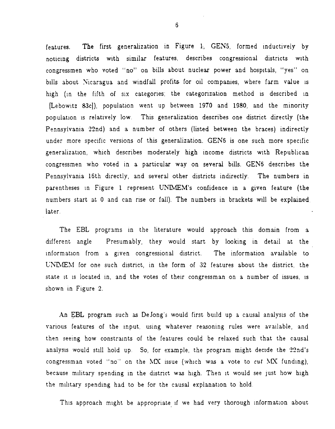features. The first generalization in Figure 1, GEN5, formed inductively by noticing districts with similar features, describes congressional districts with congressmen who voted "no" on bills about nuclear power and hospitals, "yes" on bills about Nicaragua and windfall profits for oil companies, where farm value is high (in the fifth of six categories; the categorization method is described in (Lebowitz 83cl), population went up between 1970 and 1980, and the minority population is relatively low. This generalization describes one district directly (the Pennsylvania 22nd) and a number of others (listed between the braces) indirectly under more specific versions of this generalization. GEN6 is one such more specific generalization, which describes moderately high income districts with Republican congressmen who voted in a particular way on several bills. GEN6 describes the Pennsylvania 16th directly, and several other districts indirectly. The numbers in parentheses in Figure 1 represent UNIMEM's confidence in a given feature (the numbers start at 0 and can rise or fall). The numbers in brackets will be explained later.

The EBL programs in the literature would approach this domain from a different angle Presumably, they would start by looking in detail at the information from a given congressional district. The information available to UNEM for one such district, in the form of 32 features about the district, the state it is located in, and the votes of their congressman on a number of issues, is shown in Figure 2.

An EBL program such as DeJong's would first build up a causal analysis of the various features of the input, using whatever reasoning rules were available, and then seeing how constraints of the features could be relaxed such that the causal analysis would still hold up. So, for example, the program might decide the 22nd's congressman voted "no" on the  $M X$  issue (which was a vote to cut  $M X$  funding), because military spending in the district was high. Then it would see just how high the military spending had to be for the causal explanation to hold.

This approach might be appropriate if we had very thorough information about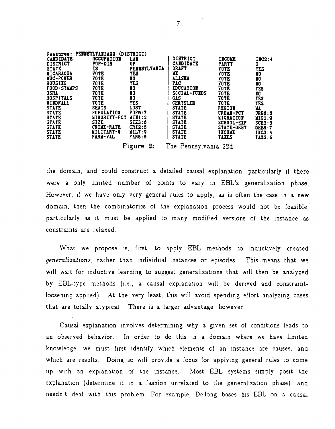| Features:<br>PELISILVALIAZZ (DISIRICI) |                     |               |                     |                   |               |  |  |  |  |
|----------------------------------------|---------------------|---------------|---------------------|-------------------|---------------|--|--|--|--|
| CAND IDATE                             | <b>OCCUPATION</b>   | <b>LAT</b>    | DISTRICT            | <b>IICOVE</b>     | IIC2:4        |  |  |  |  |
| <b>DISTRICT</b>                        | <b>POP-DIR</b>      | UΡ            | <b>CAMDIDATE</b>    | <b>PARTY</b>      | D             |  |  |  |  |
| <b>STATE</b>                           | IS.                 | PETISTLVAJIA  | <b>DRAFT</b>        | <b>VOTE</b>       | TES           |  |  |  |  |
| <b>IICARAGUA</b>                       | <b>VOTE</b>         | TES           | YХ                  | <b>VOTE</b>       | 10            |  |  |  |  |
| <b>ITC-POVER</b>                       | <b>VOTE</b>         | 10            | <b>ALASKA</b>       | <b>VOTE</b>       | I0            |  |  |  |  |
| <b>HOUSING</b>                         | <b>VOTE</b>         | <b>TES</b>    | PAC.                | <b>VOTE</b>       | 10            |  |  |  |  |
| FOOD-STAMPS                            | <b>VOTE</b>         | 10            | EDUCATION           | <b>VOTE</b>       | TES           |  |  |  |  |
| <b>OSHA</b>                            | <b>VOTE</b>         | I0            | <b>SOCIAL-FUIDS</b> | <b>VOTE</b>       | 10            |  |  |  |  |
| <b>HOSPITALS</b>                       | <b>VOTE</b>         | 10            | gas                 | <b>VOTE</b>       | <b>TES</b>    |  |  |  |  |
| <b>TIMPALL</b>                         | <b>VOTE</b>         | TES           | <b>CHRYSLER</b>     | <b>VOTE</b>       | TES           |  |  |  |  |
| <b>STATE</b>                           | <b>SEATS</b>        | <b>LOST</b>   | <b>STATE</b>        | <b>REGION</b>     | XT.           |  |  |  |  |
| <b>STATE</b>                           | <b>POPULATION</b>   | <b>POP6:7</b> | <b>STATE</b>        | URBAN-PCT         | <b>URB6:6</b> |  |  |  |  |
| <b>STATE</b>                           | <b>MINORITY-PCT</b> | III1:2        | <b>STATE</b>        | <b>MIGRATION</b>  | MIG1:9        |  |  |  |  |
| <b>STATE</b>                           | <b>SIZE</b>         | SIZ3:6        | <b>STATE</b>        | SCHOOL-EXP        | SCB3:3        |  |  |  |  |
| <b>STATE</b>                           | CRIME-RATE          | CRI2:5        | <b>STATE</b>        | <b>STATE-DEBT</b> | <b>DEB6:7</b> |  |  |  |  |
| <b>STATE</b>                           | WILITARY-\$         | VIL7:9        | <b>STATE</b>        | <b>IICOME</b>     | IIC3:4        |  |  |  |  |
| <b>STATE</b>                           | <b>FARM-VAL</b>     | <b>FAR5:6</b> | <b>STATE</b>        | <b>TATES</b>      | TAX2: 5       |  |  |  |  |
|                                        |                     |               |                     |                   |               |  |  |  |  |

Figure 2: The Pennsylvania 22d

the domain, and could construct a detailed causal explanation, particularly if there were a only limited number of points to vary in EBL's generalization phase. However, if we have only very general rules to apply, as is often the case in a new domain, then the combinatorics of the explanation process would not be feasible. particularly as it must be applied to many modified versions of the instance as constraints are relaxed.

What we propose is, first, to apply EBL methods to inductively created generalizations, rather than individual instances or episodes. This means that we will wait for inductive learning to suggest generalizations that will then be analyzed by EBL-type methods (i.e., a causal explanation will be derived and constraintloosening applied). At the very least, this will avoid spending effort analyzing cases that are totally atypical. There is a larger advantage, however.

Causal explanation involves determining why a given set of conditions leads to an observed behavior. In order to do this in a domain where we have limited knowledge, we must first identify which elements of an instance are causes, and which are results. Doing so will provide a focus for applying general rules to come up with an explanation of the instance.. Most EBL systems simply posit the explanation (determine it in a fashion unrelated to the generalization phase), and needn't deal with this problem. For example, DeJong bases his EBL on a causal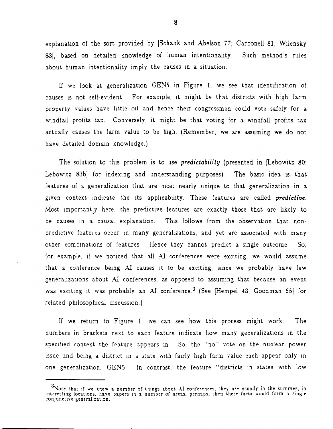explanation of the sort provided by  $Schank$  and Abelson 77; Carbonell 81; Wilensky 83]. based on detailed knowledge of human intentionality. Such method's rules about human intentionality imply the causes in a situation.

II we look at generalization GENS in Figure 1, we see that identification of causes IS not self-evident. For example, It might be that districts With high farm property values have little 011 and hence their congressmen could vote safely for a Windfall profits tax. Conversely, it might be that voting for a windfall profits tax actually causes the farm value to be high. (Remember, we are assuming we do not have detailed domain knowledge.)

The solution to this problem is to use *predictability* (presented in [Lebowitz 80; Lebowitz 83b] for indexing and understanding purposes). The basic idea is that features of a generalization that are most nearly unique to that generalization in a given context indicate the its applicability. These features are called *predictive*. Most importantly here, the predictive-features are exactly those that are likely to be causes in a causal explanation. This follows from the observation that nonpredictive features occur in many generalizations, and yet are associated with many other combinations of features. Hence they cannot predict a single outcome. So, for example, if we noticed that all  $\overline{AI}$  conferences were exciting, we would assume that a conference being AI causes it to be exciting, since we probably have few generalizations about AI conferences, as opposed to assuming that because an event was exciting it was probably an AI conference.<sup>3</sup> (See [Hempel 43; Goodman 65] for related philosophical discussion.)

If we return to Figure 1, we can see how this process might work. The numbers in brackets next to each feature indicate how many generalizations in the specified context the feature appears in. So, the "no" vote on the nuclear power issue and being a district in a state with fairly high farm value each appear only in one generalization, GEN5. In contrast, the feature "districts in states with low

<sup>&</sup>lt;sup>3</sup>Note that if we knew a number of things about AI conferences, they are usually in the summer, in interesting locations, have papers in a. number of areas, perhaps, then these facts would form a single conjunctive generalization.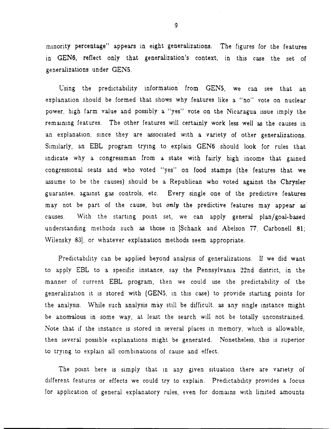minority percentage" appears in eight generalizations. The figures for the features in GEN6, reflect only that generalization's context, in this case the set of generalizations under GENS.

Using the predictability information from GEN5, we can see that an explanation should be formed that shows why features like a "no" vote on nuclear power, high farm value and possibly a "yes" vote on the Nicaragua issue imply the remaining features. The other features will certainly work less well as the causes in an explanation, since they are associated with a variety of other generalizations. SimIlarly, an EBL program trymg to explain GEN6 should look for rules that indicate why a congressman from a state with fairly high income that gained congressional seats and who voted "yes" on food stamps (the features that we assume to be the causes) should be a Republican who voted against the Chrysler guarantee, against gas controls, etc. Every single one of the predictive features may not be part of the cause, but *only* the predictive features may appear as causes. With the starting point set, we can apply general plan/goal-based understanding methods such as those in [Schank and Abelson 77; Carbonell 81; Wilensky 83], or whatever explanation methods seem appropriate.

Predictability can be applied beyond analysis of generalizations. If we did want to apply EBL to a specific instance, say the Pennsylvania 22nd district, in the manner of current EBL program, then we could use the predictability of the generalization it is stored with (GEN5, in this case) to provide starting points for the analysis. \Vhile such analysis may still be difficult, as any single instance might be anomalous in some way, at least the search WIll not be totally unconstrained. Note that if the instance is stored in several places in memory, which is allowable, then several possible explanations might be generated. Nonetheless, this is superior to trying to explain all combinations of cause and effect.

The point here is simply that in any given situation there are variety of different features or effects we could try to explain. Predictability provides a focus for application of general explanatory rules, even for domains with limited amounts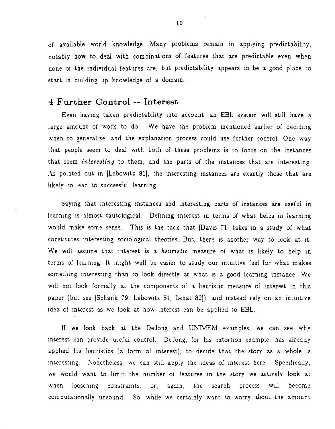of available world knowledge. Many problems remain in applying predictability, notably how to deal with combinations of features that are predictable even when none of the individual features are, but predictability appears to be a good place to start in building up knowledge of a domain.

#### **4 Further Control -- Interest**

Even having taken predictability into account, an EBL system will still have a large amount of work to do. We have the problem mentioned earlier of deciding when to generalize, and the explanation process could use further control. One way that people seem to deal with both of these problems is to focus on the Instances that seem *interesting* to them, and the parts of the instances that are interesting. As pointed out in [Lebowitz 81], the interesting instances are exactly those that are likely to lead to successful learning.

Saying that interesting instances and interesting parts of instances are useful in learning is almost tautological. Defining interest in terms of what helps in learning would make some sense. This is the tack that [Davis 71] takes in a study of what constitutes interesting sociological theories. But, there is another way to look at it. We will assume that interest is a *heuristic* measure of what is likely to help in terms of learning. It might well be easier to study our intuitive feel for what makes something interesting than to look directly at what is a good learning instance. We will not look formally at the components of a heuristic measure of interest in this paper (but see [Schank 79; Lebowitz 81; Lenat 82]), and instead rely on an intuitive Idea of interest as we look at how interest can be applied to EBL.

If we look back at the DeJong and UNIMEM examples, we can see why interest can provide useful control. DeJong, for his extortion example, has already applied his heuristics (a form of interest), to decide that the story as a whole is interesting. Nonetheless, we can still apply the ideas of interest here. Specifically, we would want to limit the number of features in the story we actively look at when loosening constraints, or, again, the search process will become computationally unsound. So, while we certainly want to worry about the amount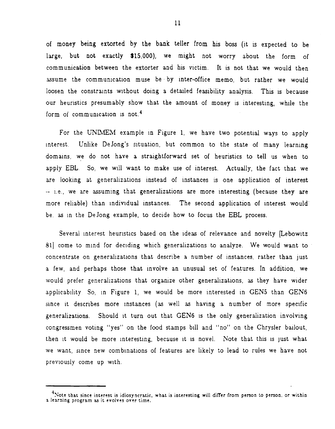of money being extorted by the bank teller from his boss (it is expected to be large, but not exactly \$15,000), we might not worry about the form of comm unication between the extorter and his victim. It is not that we would then assume the communication muse be by inter-office memo, but rather we would loosen the constraints without doing a detailed feasibility analysis. This is because our heuristics presumably show that the amount of money is interesting, while the form of communication is not.<sup>4</sup>

For the UNIMEM example in Figure 1, we have two potential ways to apply Interest. Unlike Dejong's sltuation, but common to the state of many learning domains, we do not have a straightforward set of heuristics to tell us when to apply EBL. So, we Will want to make use of interest. Actually, the fact that we are looking at generalizations instead of instances is one application of interest -- i.e., we are assuming that generalizations are more interesting (because they are more reliable) than individual instances. The second application of interest would be, as in the DeJong example, to decide how to focus the EBL process.

Several interest heuristics based on the ideas of relevance and novelty [Lebowitz 81] come to mind for deciding which generalizations to analyze. We would want to concentrate on generalizations that describe a number of instances, rather than just a few, and perhaps those that Involve an unusual set of features. In addition, we would prefer generalizations that organize other generalizations, as they have wider applicability. So, in Figure 1, we would be more interested in GEN5 than GEN6 since it describes more instances (as well as having a number of more specific generalizations. Should it turn out that GEN6 is the only generalization involving congressmen voting "yes" on the food stamps bill and "no" on the Chrysler bailout, then it would be more interesting, because it is novel. Note that this is just what we want, since new combinations of features are likely to lead to rules we have not preVIously come up With.

 $^{+}$ Note that since interest is idiosyncratic, what is interesting will differ from person to person, or within a learning program as it evolves over time.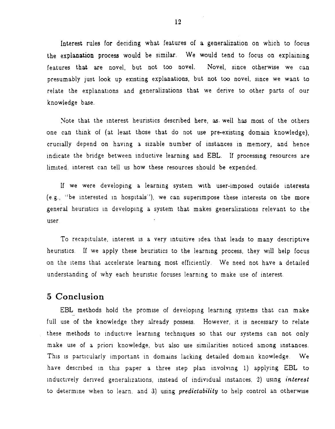Interest rules for deciding what features of a generalization on which to focus the explanation process would be similar. We would tend to focus on explaining features that are novel, but not too novel. Novel, since otherwise we can presumably just look up existing explanations, but not too novel, since we want to relate the explanations and generalizations that we derive to other parts of our knowledge base.

Note that the interest heuristics described here, as well has most of the others one can think of (at least those that do not use pre-existing domain knowledge). crucially depend on having a sizable number of instances in memory, and hence indicate the bridge between inductive learning and EBL. If processing resources are limited, interest can tell us how these resources should be expended.

If we were developing a learning system with user-imposed outside interests (e.g., "be interested in hospitals"), we can superimpose these interests on the more general heuristics in developing a system that makes generalizations relevant to the user.

To recapitulate, interest is a very intuitive idea that leads to many descriptive heuristics. If we apply these heuristics to the learning process, they will help focus on the items that accelerate learning most efficiently. We need not have a detailed understanding of why each heuristic focuses learning to make use of interest.

#### 5 Conclusion

EBL methods hold the promise of developing learning systems that can make full use of the knowledge they already possess. However, it is necessary to relate these methods to inductive learning techniques so that our systems can not only make use of a priori knowledge, but also use similarities noticed among instances. This is particularly important in domains lacking detailed domain knowledge. We have described in this paper a three step plan involving 1) applying EBL to inductively derived generalizations, instead of individual instances, 2) using interest to determine when to learn, and 3) using *predictability* to help control an otherwise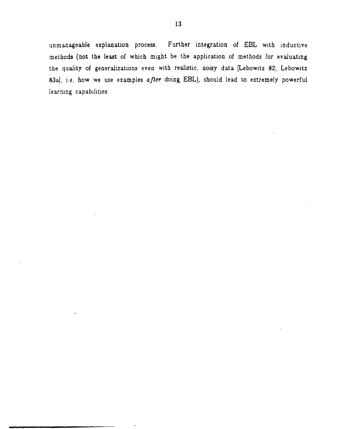unmanageable explanation process. Further integration of EBL with inductive methods (not the least of which might be the application of methods for evaluating the quality of generalizations even with realistic, noisy data [Lebowitz 82; Lebowitz 83aJ, i.e, how we use examples *after* doing, EBL), should lead to extremely powerful learning capabllities.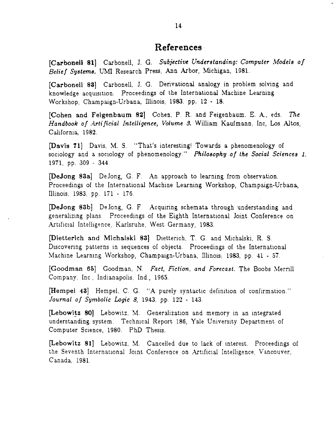### **References·**

[Carbonell 81] Carbonell, J. G. Subjective Understanding: Computer Models of Belief Systems. UMI Research Press, Ann Arbor, Michigan, 1981.

[Carbonell 83] Carbonell, J. G. Derivational analogy in problem solving and knowledge acquisition. Proceedings of the International Machine Learning Workshop, Champaign-Urbana, lllinois, 1983, pp. 12 - 18.

[Cohen and Feigenbaum 82] Cohen, P. R. and Feigenbaum, E. A., eds. The *Handbook of .4.rtific£al Intelligence, Volume* 8. William Kaufmann, Inc, Los Altos, California, 1982.

(Davis 11] Davis, M. S. "That's interesting! Towards a phenomenology of sociology and a sociology of phenomenology." Philosophy of the Social Sciences 1. 1971, pp. 309 - 344.

[Dejong 83a] Dejong, G. F. An approach to learning from observation. Proceedings of the International Machine Learning Workshop, Champaign-Urbana, lllinois, 1983, pp. 171 - 176.

[DeJong 83b] DeJong, G. F. Acquiring schemata through understanding and generalizmg plans. Proceedings of the Eighth InternatlOnal Joint Conference on Artificial Intelligence, Karlsruhe, West Germany, 1983.

(Dietterich and Michalski 83] Dietterich, T. G. and Michalski, R. S. Discovering patterns in sequences of objects. Proceedings of the International Machine Learning Workshop, Champaign-Urbana, Illinois: 1983, pp. 41 - 57.

[Goodman 65] Goodman, N. *Fact, Fiction, and Forecast.* The Boobs Mernll Company, Inc, Indianapolis, Ind., 1965.

[Hempel 43] Hempel, C. G. "A purely syntactic definition of confirmation." *Journal of Symbolic Logic 8, 1943, pp. 122 - 143.* 

[Lebowitz 80] Lebowitz, M. Generalization and memory in an integrated understanding system. Technical Report 186, Yale University Department of Computer Science, 1980. PhD Thesis.

[Lebowitz 81] Lebowitz, M. Cancelled due to lack of interest. Proceedings of the Seventh International Joint Conference on Artificial Intelligence, Vancouver, Canada, 1981.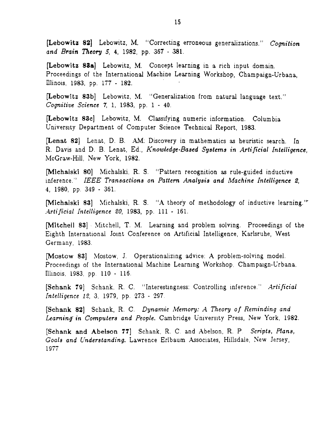[Lebowitz 82] Lebowitz, M. "Correcting erroneous generalizations." *Cognition and Brain Theory S,* 4, 1982, pp. 367 - 38l.

[Lebowitz 83a] Lebowitz, M. Concept learning in a rich input domain. Proceedings of the International Machine Learning Workshop, Champaign-Urbana, Illinois, 1983, pp. 177 - 182.

[Lebowitz 83b] Lebowitz, M. "Generalization from natural language text." *Cognitive Science* 7, 1, 1983, pp. 1 - 40.

[Lebowitz 8ac] Lebowitz, M. Classifying numeric information. Columbia University Department of Computer Science Technical Report, 1983.

[Lenat 82] Lenat, D. B. AM: Discovery in mathematics as heuristic search. In R. Davis and D. B. Lenat, Ed., *Knowledge-Based Systems* in *Artificial Intelligence,*  McGraw-Hill, New York, 1982.

[Michalski 80] Michalski, R. S. "Pattern recognition as rule-guided inductive inference." *IEEE Transactions on Pattern Analysis and Machine Intelligence 2,* 4, 1980, pp. 349 - 361.

[Michalski 83] Michalski, R. S. "A theory of methodology of inductive learning." *A.rtificial Inte//igence* 20, 1983, pp. 111 - 16I.

[Mitchell 83] Mitchell, T. M. Learning and problem solving. Proceedings of the Eighth International Joint Conference on Artificial Intelligence, Karlsruhe, West Germany, 1983.

[Mostow 83] Mostow, J. Operationalizing advice: A problem-solving model. Proceedings of the International Machine Learning Workshop, Champaign-Urbana, Illinois, 1983, pp. 110 - 116.

[Schank 7g] Schank. R. C. "Interestingness: Controlling inference." *Artificial Intelligence* 12, 3, 1979, pp. 273 - 297.

[Schank 82] Schank, R. C. *Dynamic Memory: A Theory of Reminding and* Learning in Computers and People. Cambridge University Press, New York, 1982.

[Schank and Abelson 77] Schank, R. C. and Abelson, R. P. *Scripts, Plans, Goals and Understanding.* Lawrence Erlbaum AsSOCIates, Hillsdale, New Jersey, 1977